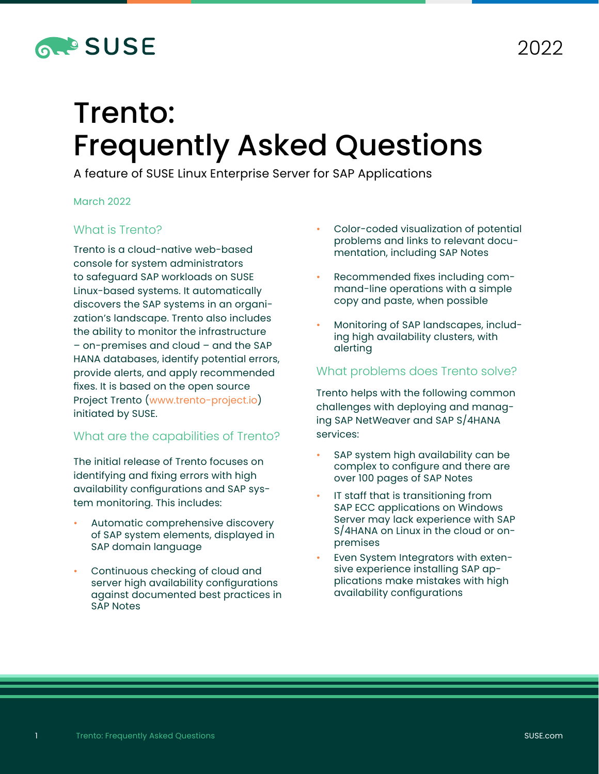

# Trento: Frequently Asked Questions

A feature of SUSE Linux Enterprise Server for SAP Applications

#### March 2022

#### What is Trento?

Trento is a cloud-native web-based console for system administrators to safeguard SAP workloads on SUSE Linux-based systems. It automatically discovers the SAP systems in an organization's landscape. Trento also includes the ability to monitor the infrastructure – on-premises and cloud – and the SAP HANA databases, identify potential errors, provide alerts, and apply recommended fixes. It is based on the open source Project Trento ([www.trento-project.io](https://www.trento-project.io)) initiated by SUSE.

#### What are the capabilities of Trento?

The initial release of Trento focuses on identifying and fixing errors with high availability configurations and SAP system monitoring. This includes:

- Automatic comprehensive discovery of SAP system elements, displayed in SAP domain language
- Continuous checking of cloud and server high availability configurations against documented best practices in SAP Notes
- Color-coded visualization of potential problems and links to relevant documentation, including SAP Notes
- Recommended fixes including command-line operations with a simple copy and paste, when possible
- Monitoring of SAP landscapes, including high availability clusters, with alerting

#### What problems does Trento solve?

Trento helps with the following common challenges with deploying and managing SAP NetWeaver and SAP S/4HANA services:

- SAP system high availability can be complex to configure and there are over 100 pages of SAP Notes
- IT staff that is transitioning from SAP ECC applications on Windows Server may lack experience with SAP S/4HANA on Linux in the cloud or onpremises
- Even System Integrators with extensive experience installing SAP applications make mistakes with high availability configurations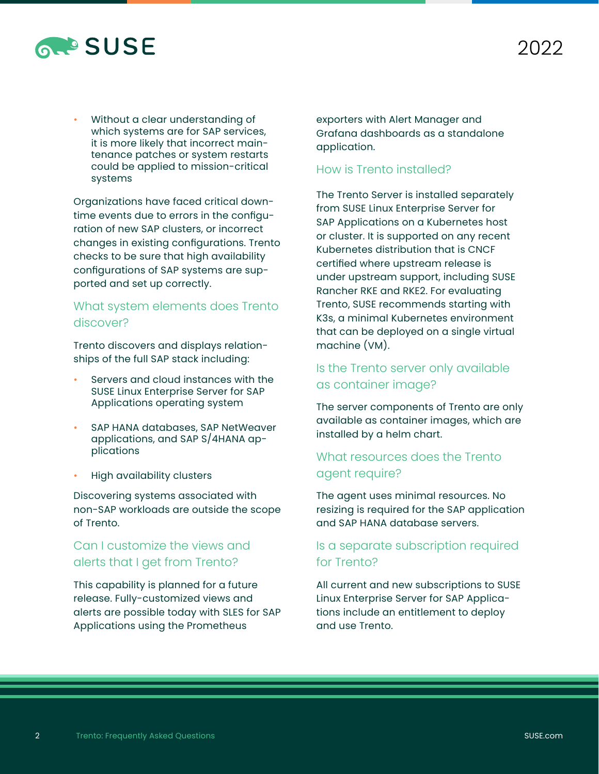

• Without a clear understanding of which systems are for SAP services, it is more likely that incorrect maintenance patches or system restarts could be applied to mission-critical systems

Organizations have faced critical downtime events due to errors in the configuration of new SAP clusters, or incorrect changes in existing configurations. Trento checks to be sure that high availability configurations of SAP systems are supported and set up correctly.

#### What system elements does Trento discover?

Trento discovers and displays relationships of the full SAP stack including:

- Servers and cloud instances with the SUSE Linux Enterprise Server for SAP Applications operating system
- SAP HANA databases, SAP NetWeaver applications, and SAP S/4HANA applications
- High availability clusters

Discovering systems associated with non-SAP workloads are outside the scope of Trento.

# Can I customize the views and alerts that I get from Trento?

This capability is planned for a future release. Fully-customized views and alerts are possible today with SLES for SAP Applications using the Prometheus

exporters with Alert Manager and Grafana dashboards as a standalone application.

#### How is Trento installed?

The Trento Server is installed separately from SUSE Linux Enterprise Server for SAP Applications on a Kubernetes host or cluster. It is supported on any recent Kubernetes distribution that is CNCF certified where upstream release is under upstream support, including SUSE Rancher RKE and RKE2. For evaluating Trento, SUSE recommends starting with K3s, a minimal Kubernetes environment that can be deployed on a single virtual machine (VM).

## Is the Trento server only available as container image?

The server components of Trento are only available as container images, which are installed by a helm chart.

## What resources does the Trento agent require?

The agent uses minimal resources. No resizing is required for the SAP application and SAP HANA database servers.

## Is a separate subscription required for Trento?

All current and new subscriptions to SUSE Linux Enterprise Server for SAP Applications include an entitlement to deploy and use Trento.